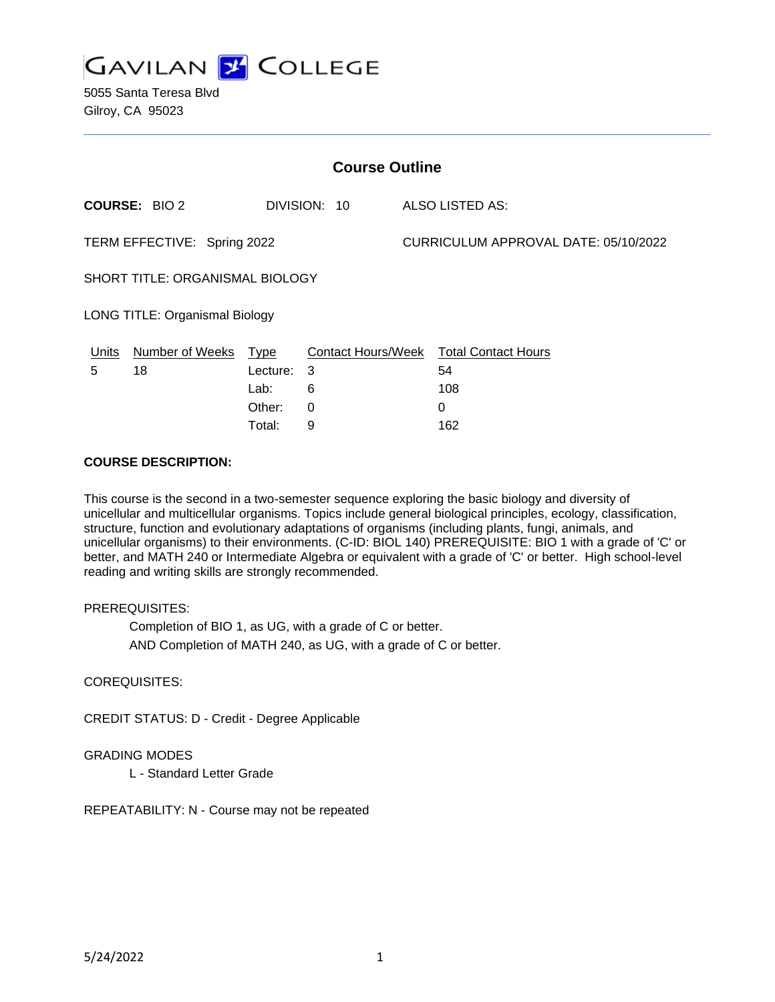

5055 Santa Teresa Blvd Gilroy, CA 95023

| <b>Course Outline</b>                 |                      |          |              |                                      |                                        |
|---------------------------------------|----------------------|----------|--------------|--------------------------------------|----------------------------------------|
|                                       | <b>COURSE: BIO 2</b> |          | DIVISION: 10 |                                      | ALSO LISTED AS:                        |
| TERM EFFECTIVE: Spring 2022           |                      |          |              | CURRICULUM APPROVAL DATE: 05/10/2022 |                                        |
| SHORT TITLE: ORGANISMAL BIOLOGY       |                      |          |              |                                      |                                        |
| <b>LONG TITLE: Organismal Biology</b> |                      |          |              |                                      |                                        |
| Units                                 | Number of Weeks Type |          |              |                                      | Contact Hours/Week Total Contact Hours |
| 5                                     | 18                   | Lecture: | -3           |                                      | 54                                     |
|                                       |                      | Lab:     | 6            |                                      | 108                                    |
|                                       |                      | Other:   | $\Omega$     |                                      | $\Omega$                               |
|                                       |                      | Total:   | 9            |                                      | 162                                    |

#### **COURSE DESCRIPTION:**

This course is the second in a two-semester sequence exploring the basic biology and diversity of unicellular and multicellular organisms. Topics include general biological principles, ecology, classification, structure, function and evolutionary adaptations of organisms (including plants, fungi, animals, and unicellular organisms) to their environments. (C-ID: BIOL 140) PREREQUISITE: BIO 1 with a grade of 'C' or better, and MATH 240 or Intermediate Algebra or equivalent with a grade of 'C' or better. High school-level reading and writing skills are strongly recommended.

### PREREQUISITES:

Completion of BIO 1, as UG, with a grade of C or better.

AND Completion of MATH 240, as UG, with a grade of C or better.

### COREQUISITES:

CREDIT STATUS: D - Credit - Degree Applicable

### GRADING MODES

L - Standard Letter Grade

REPEATABILITY: N - Course may not be repeated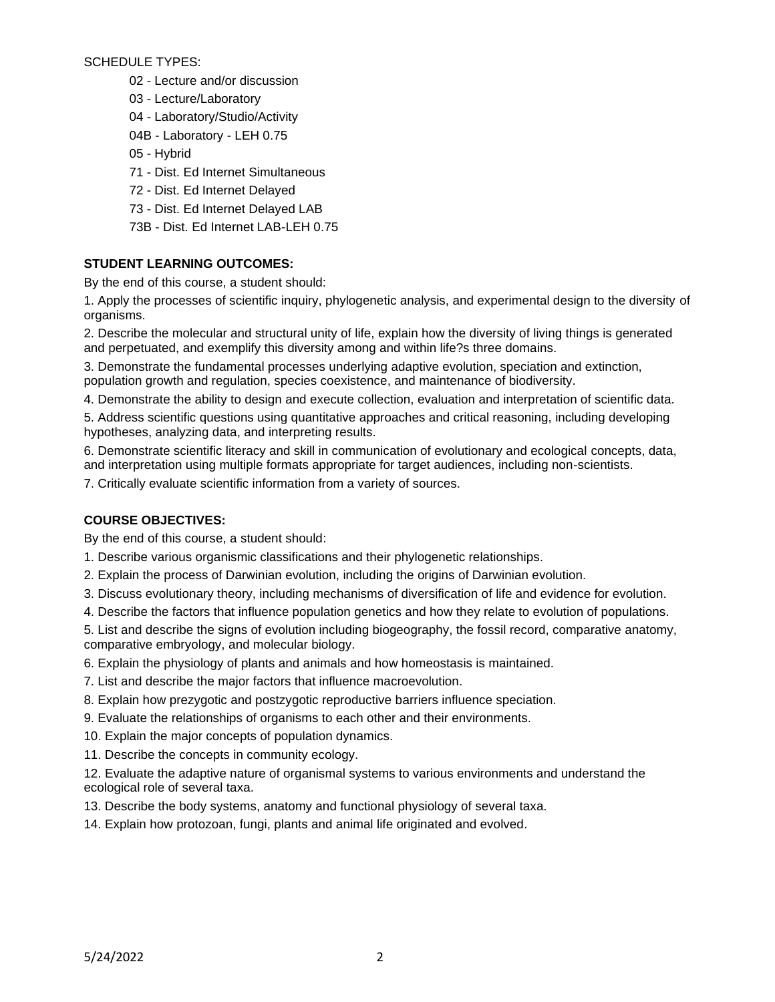SCHEDULE TYPES:

- 02 Lecture and/or discussion
- 03 Lecture/Laboratory
- 04 Laboratory/Studio/Activity
- 04B Laboratory LEH 0.75
- 05 Hybrid
- 71 Dist. Ed Internet Simultaneous
- 72 Dist. Ed Internet Delayed
- 73 Dist. Ed Internet Delayed LAB
- 73B Dist. Ed Internet LAB-LEH 0.75

# **STUDENT LEARNING OUTCOMES:**

By the end of this course, a student should:

1. Apply the processes of scientific inquiry, phylogenetic analysis, and experimental design to the diversity of organisms.

2. Describe the molecular and structural unity of life, explain how the diversity of living things is generated and perpetuated, and exemplify this diversity among and within life?s three domains.

3. Demonstrate the fundamental processes underlying adaptive evolution, speciation and extinction, population growth and regulation, species coexistence, and maintenance of biodiversity.

4. Demonstrate the ability to design and execute collection, evaluation and interpretation of scientific data.

5. Address scientific questions using quantitative approaches and critical reasoning, including developing hypotheses, analyzing data, and interpreting results.

6. Demonstrate scientific literacy and skill in communication of evolutionary and ecological concepts, data, and interpretation using multiple formats appropriate for target audiences, including non-scientists.

7. Critically evaluate scientific information from a variety of sources.

### **COURSE OBJECTIVES:**

By the end of this course, a student should:

- 1. Describe various organismic classifications and their phylogenetic relationships.
- 2. Explain the process of Darwinian evolution, including the origins of Darwinian evolution.
- 3. Discuss evolutionary theory, including mechanisms of diversification of life and evidence for evolution.
- 4. Describe the factors that influence population genetics and how they relate to evolution of populations.

5. List and describe the signs of evolution including biogeography, the fossil record, comparative anatomy, comparative embryology, and molecular biology.

6. Explain the physiology of plants and animals and how homeostasis is maintained.

- 7. List and describe the major factors that influence macroevolution.
- 8. Explain how prezygotic and postzygotic reproductive barriers influence speciation.
- 9. Evaluate the relationships of organisms to each other and their environments.
- 10. Explain the major concepts of population dynamics.
- 11. Describe the concepts in community ecology.

12. Evaluate the adaptive nature of organismal systems to various environments and understand the ecological role of several taxa.

- 13. Describe the body systems, anatomy and functional physiology of several taxa.
- 14. Explain how protozoan, fungi, plants and animal life originated and evolved.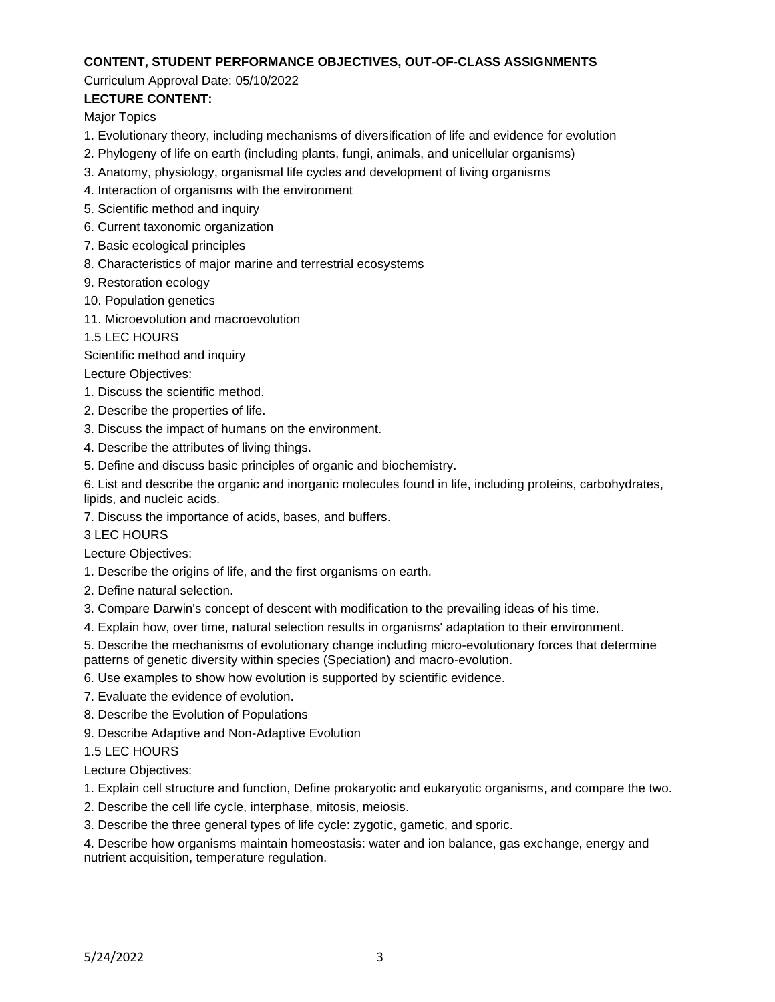### **CONTENT, STUDENT PERFORMANCE OBJECTIVES, OUT-OF-CLASS ASSIGNMENTS**

#### Curriculum Approval Date: 05/10/2022

# **LECTURE CONTENT:**

Major Topics

- 1. Evolutionary theory, including mechanisms of diversification of life and evidence for evolution
- 2. Phylogeny of life on earth (including plants, fungi, animals, and unicellular organisms)
- 3. Anatomy, physiology, organismal life cycles and development of living organisms
- 4. Interaction of organisms with the environment
- 5. Scientific method and inquiry
- 6. Current taxonomic organization
- 7. Basic ecological principles
- 8. Characteristics of major marine and terrestrial ecosystems
- 9. Restoration ecology
- 10. Population genetics
- 11. Microevolution and macroevolution
- 1.5 LEC HOURS

Scientific method and inquiry

Lecture Objectives:

- 1. Discuss the scientific method.
- 2. Describe the properties of life.
- 3. Discuss the impact of humans on the environment.
- 4. Describe the attributes of living things.
- 5. Define and discuss basic principles of organic and biochemistry.

6. List and describe the organic and inorganic molecules found in life, including proteins, carbohydrates, lipids, and nucleic acids.

7. Discuss the importance of acids, bases, and buffers.

3 LEC HOURS

Lecture Objectives:

- 1. Describe the origins of life, and the first organisms on earth.
- 2. Define natural selection.
- 3. Compare Darwin's concept of descent with modification to the prevailing ideas of his time.
- 4. Explain how, over time, natural selection results in organisms' adaptation to their environment.
- 5. Describe the mechanisms of evolutionary change including micro-evolutionary forces that determine patterns of genetic diversity within species (Speciation) and macro-evolution.
- 6. Use examples to show how evolution is supported by scientific evidence.
- 7. Evaluate the evidence of evolution.
- 8. Describe the Evolution of Populations
- 9. Describe Adaptive and Non-Adaptive Evolution

1.5 LEC HOURS

Lecture Objectives:

- 1. Explain cell structure and function, Define prokaryotic and eukaryotic organisms, and compare the two.
- 2. Describe the cell life cycle, interphase, mitosis, meiosis.
- 3. Describe the three general types of life cycle: zygotic, gametic, and sporic.

4. Describe how organisms maintain homeostasis: water and ion balance, gas exchange, energy and nutrient acquisition, temperature regulation.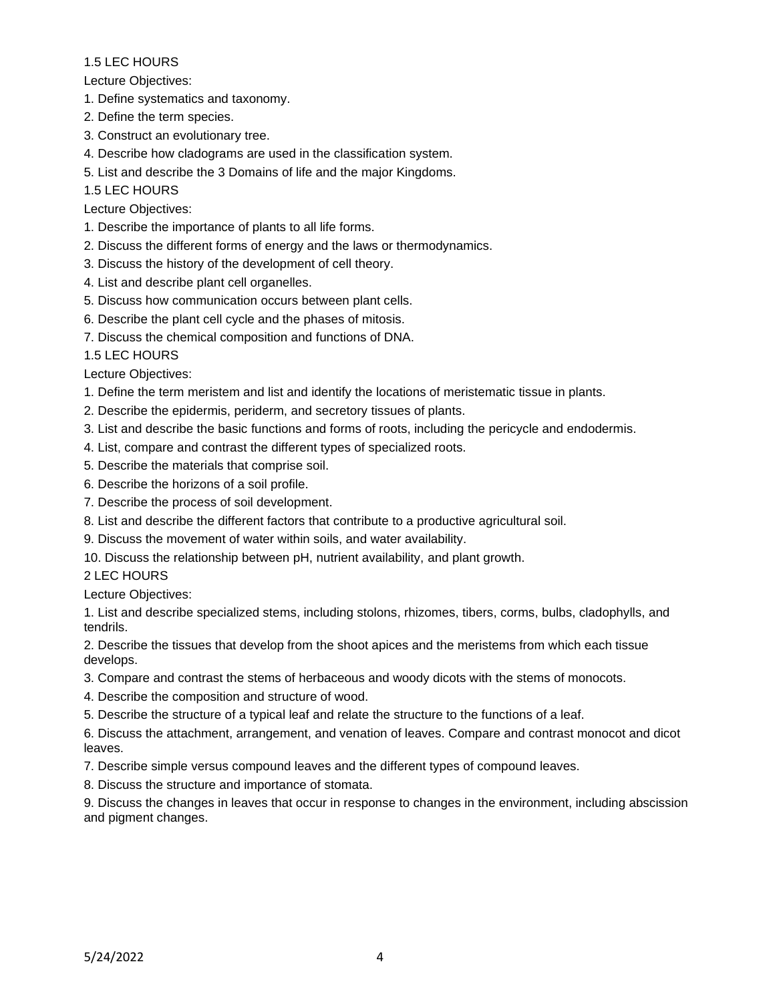Lecture Objectives:

- 1. Define systematics and taxonomy.
- 2. Define the term species.
- 3. Construct an evolutionary tree.
- 4. Describe how cladograms are used in the classification system.
- 5. List and describe the 3 Domains of life and the major Kingdoms.
- 1.5 LEC HOURS
- Lecture Objectives:
- 1. Describe the importance of plants to all life forms.
- 2. Discuss the different forms of energy and the laws or thermodynamics.
- 3. Discuss the history of the development of cell theory.
- 4. List and describe plant cell organelles.
- 5. Discuss how communication occurs between plant cells.
- 6. Describe the plant cell cycle and the phases of mitosis.
- 7. Discuss the chemical composition and functions of DNA.

1.5 LEC HOURS

Lecture Objectives:

- 1. Define the term meristem and list and identify the locations of meristematic tissue in plants.
- 2. Describe the epidermis, periderm, and secretory tissues of plants.
- 3. List and describe the basic functions and forms of roots, including the pericycle and endodermis.
- 4. List, compare and contrast the different types of specialized roots.
- 5. Describe the materials that comprise soil.
- 6. Describe the horizons of a soil profile.
- 7. Describe the process of soil development.
- 8. List and describe the different factors that contribute to a productive agricultural soil.
- 9. Discuss the movement of water within soils, and water availability.
- 10. Discuss the relationship between pH, nutrient availability, and plant growth.

2 LEC HOURS

Lecture Objectives:

1. List and describe specialized stems, including stolons, rhizomes, tibers, corms, bulbs, cladophylls, and tendrils.

2. Describe the tissues that develop from the shoot apices and the meristems from which each tissue develops.

- 3. Compare and contrast the stems of herbaceous and woody dicots with the stems of monocots.
- 4. Describe the composition and structure of wood.
- 5. Describe the structure of a typical leaf and relate the structure to the functions of a leaf.

6. Discuss the attachment, arrangement, and venation of leaves. Compare and contrast monocot and dicot leaves.

- 7. Describe simple versus compound leaves and the different types of compound leaves.
- 8. Discuss the structure and importance of stomata.

9. Discuss the changes in leaves that occur in response to changes in the environment, including abscission and pigment changes.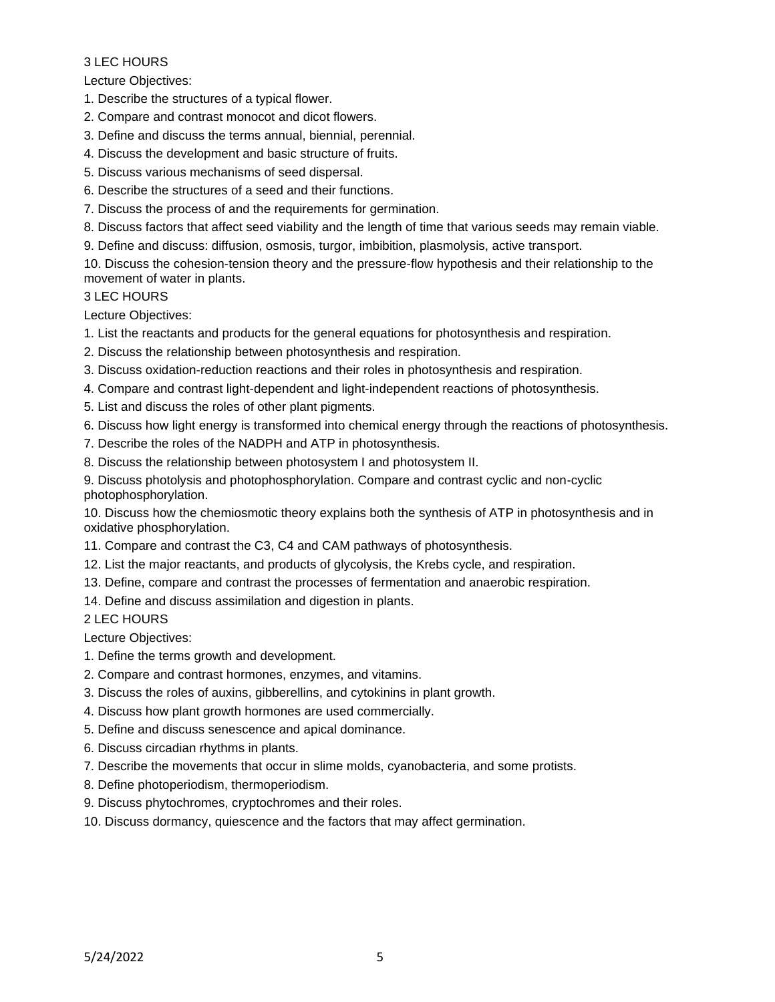# 3 LEC HOURS

Lecture Objectives:

- 1. Describe the structures of a typical flower.
- 2. Compare and contrast monocot and dicot flowers.
- 3. Define and discuss the terms annual, biennial, perennial.
- 4. Discuss the development and basic structure of fruits.
- 5. Discuss various mechanisms of seed dispersal.
- 6. Describe the structures of a seed and their functions.
- 7. Discuss the process of and the requirements for germination.
- 8. Discuss factors that affect seed viability and the length of time that various seeds may remain viable.
- 9. Define and discuss: diffusion, osmosis, turgor, imbibition, plasmolysis, active transport.

10. Discuss the cohesion-tension theory and the pressure-flow hypothesis and their relationship to the movement of water in plants.

#### 3 LEC HOURS

Lecture Objectives:

- 1. List the reactants and products for the general equations for photosynthesis and respiration.
- 2. Discuss the relationship between photosynthesis and respiration.
- 3. Discuss oxidation-reduction reactions and their roles in photosynthesis and respiration.
- 4. Compare and contrast light-dependent and light-independent reactions of photosynthesis.
- 5. List and discuss the roles of other plant pigments.
- 6. Discuss how light energy is transformed into chemical energy through the reactions of photosynthesis.
- 7. Describe the roles of the NADPH and ATP in photosynthesis.
- 8. Discuss the relationship between photosystem I and photosystem II.

9. Discuss photolysis and photophosphorylation. Compare and contrast cyclic and non-cyclic photophosphorylation.

10. Discuss how the chemiosmotic theory explains both the synthesis of ATP in photosynthesis and in oxidative phosphorylation.

- 11. Compare and contrast the C3, C4 and CAM pathways of photosynthesis.
- 12. List the major reactants, and products of glycolysis, the Krebs cycle, and respiration.
- 13. Define, compare and contrast the processes of fermentation and anaerobic respiration.

14. Define and discuss assimilation and digestion in plants.

2 LEC HOURS

Lecture Objectives:

- 1. Define the terms growth and development.
- 2. Compare and contrast hormones, enzymes, and vitamins.
- 3. Discuss the roles of auxins, gibberellins, and cytokinins in plant growth.
- 4. Discuss how plant growth hormones are used commercially.
- 5. Define and discuss senescence and apical dominance.
- 6. Discuss circadian rhythms in plants.
- 7. Describe the movements that occur in slime molds, cyanobacteria, and some protists.
- 8. Define photoperiodism, thermoperiodism.
- 9. Discuss phytochromes, cryptochromes and their roles.
- 10. Discuss dormancy, quiescence and the factors that may affect germination.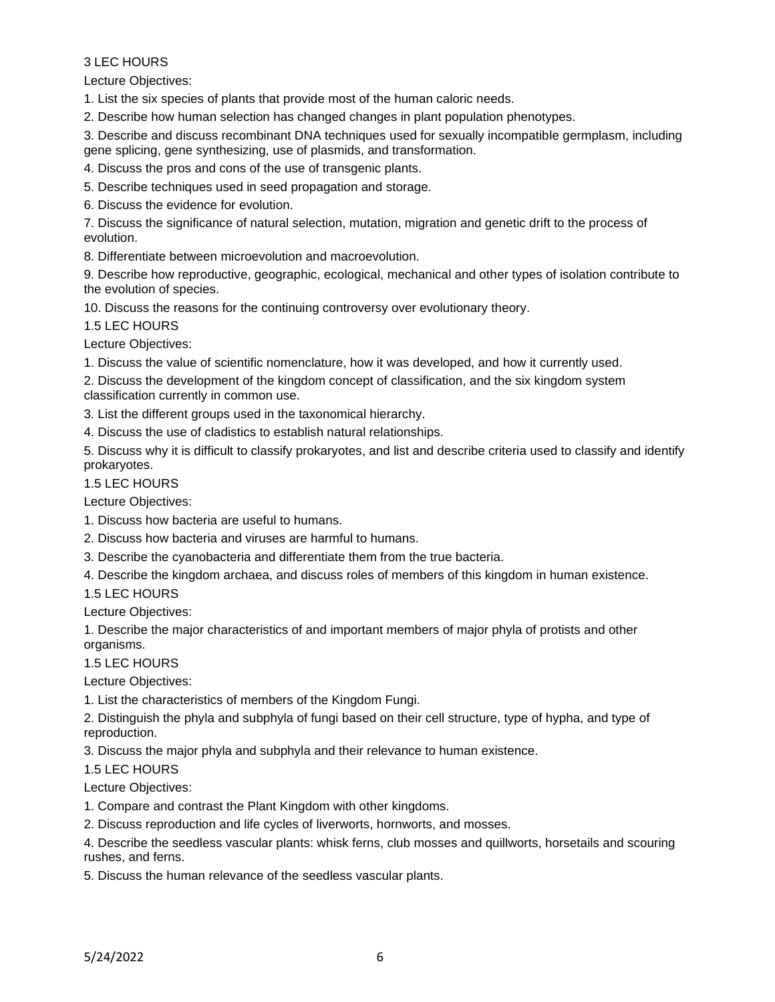# 3 LEC HOURS

Lecture Objectives:

1. List the six species of plants that provide most of the human caloric needs.

2. Describe how human selection has changed changes in plant population phenotypes.

3. Describe and discuss recombinant DNA techniques used for sexually incompatible germplasm, including gene splicing, gene synthesizing, use of plasmids, and transformation.

4. Discuss the pros and cons of the use of transgenic plants.

5. Describe techniques used in seed propagation and storage.

6. Discuss the evidence for evolution.

7. Discuss the significance of natural selection, mutation, migration and genetic drift to the process of evolution.

8. Differentiate between microevolution and macroevolution.

9. Describe how reproductive, geographic, ecological, mechanical and other types of isolation contribute to the evolution of species.

10. Discuss the reasons for the continuing controversy over evolutionary theory.

1.5 LEC HOURS

Lecture Objectives:

1. Discuss the value of scientific nomenclature, how it was developed, and how it currently used.

2. Discuss the development of the kingdom concept of classification, and the six kingdom system classification currently in common use.

3. List the different groups used in the taxonomical hierarchy.

4. Discuss the use of cladistics to establish natural relationships.

5. Discuss why it is difficult to classify prokaryotes, and list and describe criteria used to classify and identify prokaryotes.

#### 1.5 LEC HOURS

Lecture Objectives:

- 1. Discuss how bacteria are useful to humans.
- 2. Discuss how bacteria and viruses are harmful to humans.
- 3. Describe the cyanobacteria and differentiate them from the true bacteria.
- 4. Describe the kingdom archaea, and discuss roles of members of this kingdom in human existence.

1.5 LEC HOURS

Lecture Objectives:

1. Describe the major characteristics of and important members of major phyla of protists and other organisms.

1.5 LEC HOURS

Lecture Objectives:

1. List the characteristics of members of the Kingdom Fungi.

2. Distinguish the phyla and subphyla of fungi based on their cell structure, type of hypha, and type of reproduction.

3. Discuss the major phyla and subphyla and their relevance to human existence.

1.5 LEC HOURS

Lecture Objectives:

1. Compare and contrast the Plant Kingdom with other kingdoms.

2. Discuss reproduction and life cycles of liverworts, hornworts, and mosses.

4. Describe the seedless vascular plants: whisk ferns, club mosses and quillworts, horsetails and scouring rushes, and ferns.

5. Discuss the human relevance of the seedless vascular plants.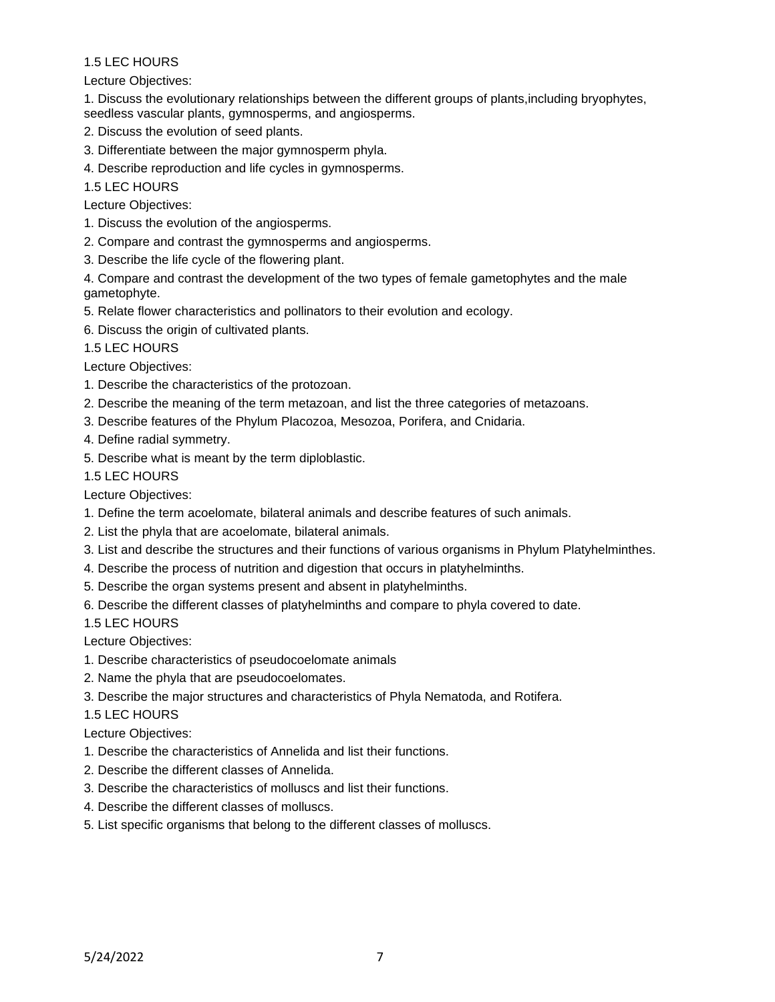Lecture Objectives:

1. Discuss the evolutionary relationships between the different groups of plants,including bryophytes, seedless vascular plants, gymnosperms, and angiosperms.

- 2. Discuss the evolution of seed plants.
- 3. Differentiate between the major gymnosperm phyla.
- 4. Describe reproduction and life cycles in gymnosperms.

1.5 LEC HOURS

Lecture Objectives:

- 1. Discuss the evolution of the angiosperms.
- 2. Compare and contrast the gymnosperms and angiosperms.
- 3. Describe the life cycle of the flowering plant.

4. Compare and contrast the development of the two types of female gametophytes and the male gametophyte.

- 5. Relate flower characteristics and pollinators to their evolution and ecology.
- 6. Discuss the origin of cultivated plants.

1.5 LEC HOURS

Lecture Objectives:

- 1. Describe the characteristics of the protozoan.
- 2. Describe the meaning of the term metazoan, and list the three categories of metazoans.
- 3. Describe features of the Phylum Placozoa, Mesozoa, Porifera, and Cnidaria.
- 4. Define radial symmetry.
- 5. Describe what is meant by the term diploblastic.

#### 1.5 LEC HOURS

Lecture Objectives:

- 1. Define the term acoelomate, bilateral animals and describe features of such animals.
- 2. List the phyla that are acoelomate, bilateral animals.
- 3. List and describe the structures and their functions of various organisms in Phylum Platyhelminthes.
- 4. Describe the process of nutrition and digestion that occurs in platyhelminths.
- 5. Describe the organ systems present and absent in platyhelminths.
- 6. Describe the different classes of platyhelminths and compare to phyla covered to date.

1.5 LEC HOURS

Lecture Objectives:

- 1. Describe characteristics of pseudocoelomate animals
- 2. Name the phyla that are pseudocoelomates.
- 3. Describe the major structures and characteristics of Phyla Nematoda, and Rotifera.
- 1.5 LEC HOURS

Lecture Objectives:

- 1. Describe the characteristics of Annelida and list their functions.
- 2. Describe the different classes of Annelida.
- 3. Describe the characteristics of molluscs and list their functions.
- 4. Describe the different classes of molluscs.
- 5. List specific organisms that belong to the different classes of molluscs.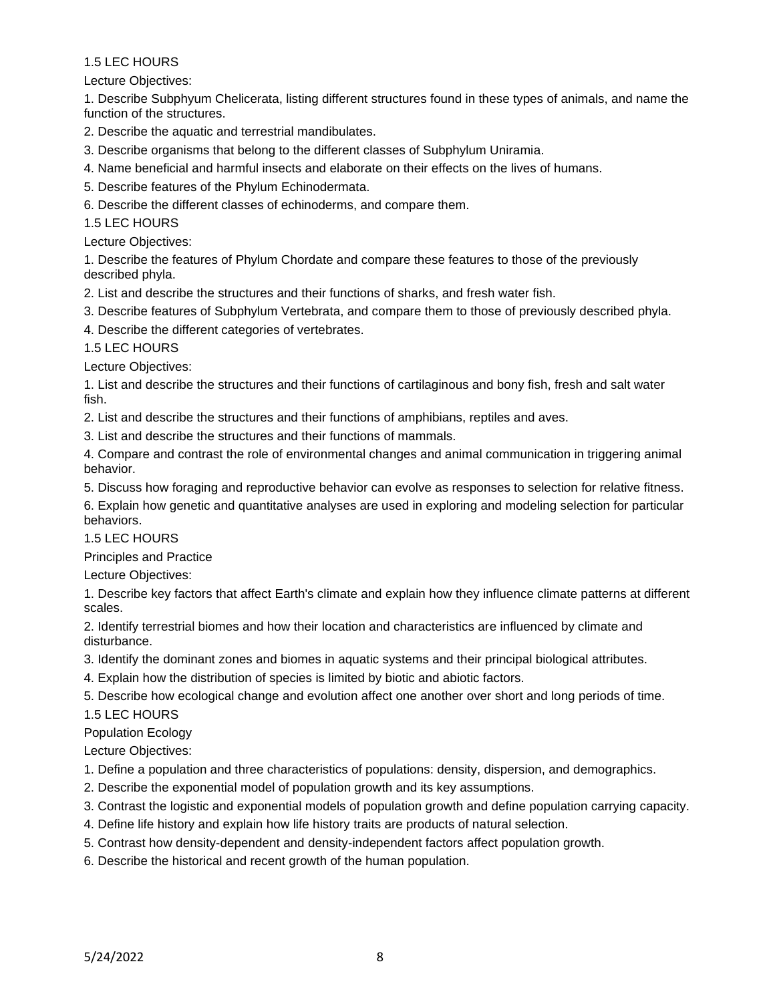Lecture Objectives:

1. Describe Subphyum Chelicerata, listing different structures found in these types of animals, and name the function of the structures.

- 2. Describe the aquatic and terrestrial mandibulates.
- 3. Describe organisms that belong to the different classes of Subphylum Uniramia.
- 4. Name beneficial and harmful insects and elaborate on their effects on the lives of humans.
- 5. Describe features of the Phylum Echinodermata.
- 6. Describe the different classes of echinoderms, and compare them.

1.5 LEC HOURS

Lecture Objectives:

1. Describe the features of Phylum Chordate and compare these features to those of the previously described phyla.

2. List and describe the structures and their functions of sharks, and fresh water fish.

- 3. Describe features of Subphylum Vertebrata, and compare them to those of previously described phyla.
- 4. Describe the different categories of vertebrates.

1.5 LEC HOURS

Lecture Objectives:

1. List and describe the structures and their functions of cartilaginous and bony fish, fresh and salt water fish.

2. List and describe the structures and their functions of amphibians, reptiles and aves.

3. List and describe the structures and their functions of mammals.

4. Compare and contrast the role of environmental changes and animal communication in triggering animal behavior.

5. Discuss how foraging and reproductive behavior can evolve as responses to selection for relative fitness.

6. Explain how genetic and quantitative analyses are used in exploring and modeling selection for particular behaviors.

1.5 LEC HOURS

Principles and Practice

Lecture Objectives:

1. Describe key factors that affect Earth's climate and explain how they influence climate patterns at different scales.

2. Identify terrestrial biomes and how their location and characteristics are influenced by climate and disturbance.

3. Identify the dominant zones and biomes in aquatic systems and their principal biological attributes.

- 4. Explain how the distribution of species is limited by biotic and abiotic factors.
- 5. Describe how ecological change and evolution affect one another over short and long periods of time.

1.5 LEC HOURS

Population Ecology

Lecture Objectives:

- 1. Define a population and three characteristics of populations: density, dispersion, and demographics.
- 2. Describe the exponential model of population growth and its key assumptions.
- 3. Contrast the logistic and exponential models of population growth and define population carrying capacity.
- 4. Define life history and explain how life history traits are products of natural selection.
- 5. Contrast how density-dependent and density-independent factors affect population growth.
- 6. Describe the historical and recent growth of the human population.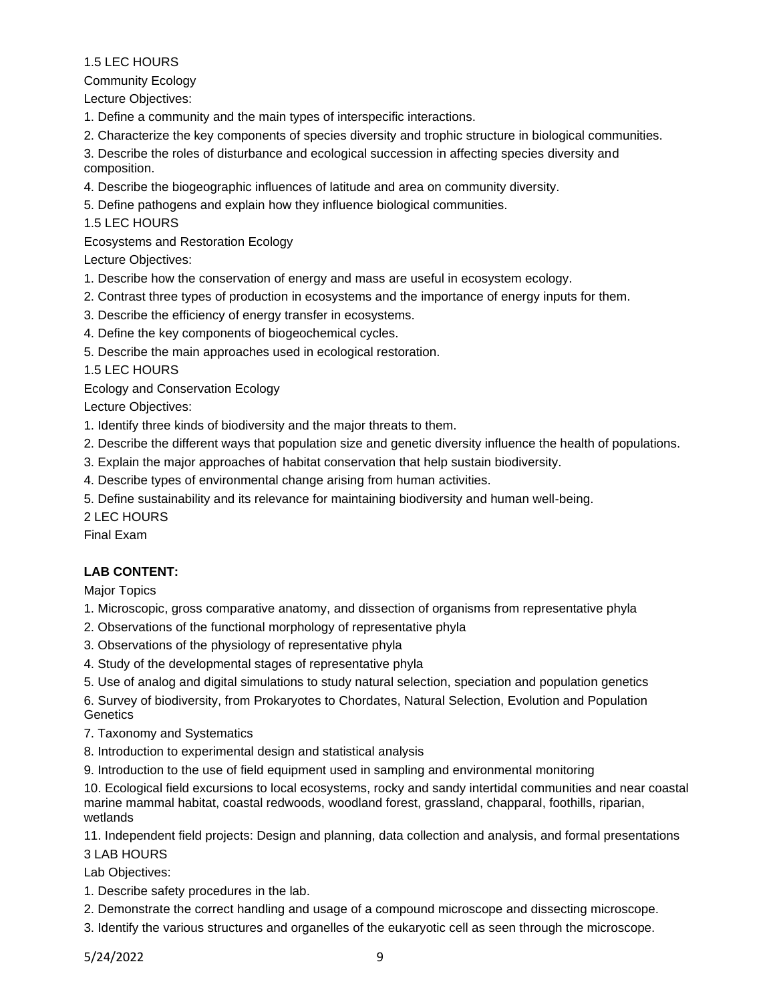Community Ecology

Lecture Objectives:

- 1. Define a community and the main types of interspecific interactions.
- 2. Characterize the key components of species diversity and trophic structure in biological communities.
- 3. Describe the roles of disturbance and ecological succession in affecting species diversity and composition.
- 4. Describe the biogeographic influences of latitude and area on community diversity.
- 5. Define pathogens and explain how they influence biological communities.
- 1.5 LEC HOURS

Ecosystems and Restoration Ecology

Lecture Objectives:

- 1. Describe how the conservation of energy and mass are useful in ecosystem ecology.
- 2. Contrast three types of production in ecosystems and the importance of energy inputs for them.
- 3. Describe the efficiency of energy transfer in ecosystems.
- 4. Define the key components of biogeochemical cycles.
- 5. Describe the main approaches used in ecological restoration.

1.5 LEC HOURS

Ecology and Conservation Ecology

Lecture Objectives:

- 1. Identify three kinds of biodiversity and the major threats to them.
- 2. Describe the different ways that population size and genetic diversity influence the health of populations.
- 3. Explain the major approaches of habitat conservation that help sustain biodiversity.
- 4. Describe types of environmental change arising from human activities.
- 5. Define sustainability and its relevance for maintaining biodiversity and human well-being.

2 LEC HOURS

Final Exam

# **LAB CONTENT:**

Major Topics

- 1. Microscopic, gross comparative anatomy, and dissection of organisms from representative phyla
- 2. Observations of the functional morphology of representative phyla
- 3. Observations of the physiology of representative phyla
- 4. Study of the developmental stages of representative phyla
- 5. Use of analog and digital simulations to study natural selection, speciation and population genetics
- 6. Survey of biodiversity, from Prokaryotes to Chordates, Natural Selection, Evolution and Population **Genetics**
- 7. Taxonomy and Systematics
- 8. Introduction to experimental design and statistical analysis
- 9. Introduction to the use of field equipment used in sampling and environmental monitoring

10. Ecological field excursions to local ecosystems, rocky and sandy intertidal communities and near coastal marine mammal habitat, coastal redwoods, woodland forest, grassland, chapparal, foothills, riparian, wetlands

11. Independent field projects: Design and planning, data collection and analysis, and formal presentations 3 LAB HOURS

Lab Objectives:

- 1. Describe safety procedures in the lab.
- 2. Demonstrate the correct handling and usage of a compound microscope and dissecting microscope.
- 3. Identify the various structures and organelles of the eukaryotic cell as seen through the microscope.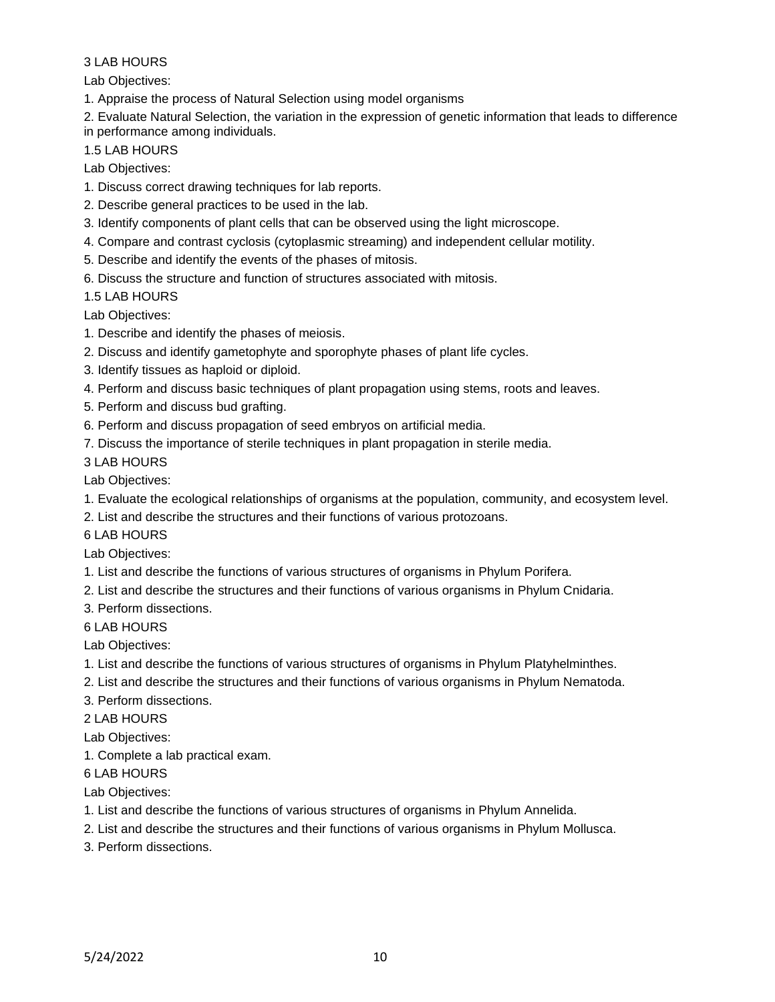# Lab Objectives:

1. Appraise the process of Natural Selection using model organisms

2. Evaluate Natural Selection, the variation in the expression of genetic information that leads to difference in performance among individuals.

### 1.5 LAB HOURS

Lab Objectives:

- 1. Discuss correct drawing techniques for lab reports.
- 2. Describe general practices to be used in the lab.
- 3. Identify components of plant cells that can be observed using the light microscope.
- 4. Compare and contrast cyclosis (cytoplasmic streaming) and independent cellular motility.
- 5. Describe and identify the events of the phases of mitosis.
- 6. Discuss the structure and function of structures associated with mitosis.

1.5 LAB HOURS

Lab Objectives:

- 1. Describe and identify the phases of meiosis.
- 2. Discuss and identify gametophyte and sporophyte phases of plant life cycles.
- 3. Identify tissues as haploid or diploid.
- 4. Perform and discuss basic techniques of plant propagation using stems, roots and leaves.
- 5. Perform and discuss bud grafting.
- 6. Perform and discuss propagation of seed embryos on artificial media.
- 7. Discuss the importance of sterile techniques in plant propagation in sterile media.

3 LAB HOURS

Lab Objectives:

- 1. Evaluate the ecological relationships of organisms at the population, community, and ecosystem level.
- 2. List and describe the structures and their functions of various protozoans.

### 6 LAB HOURS

Lab Objectives:

- 1. List and describe the functions of various structures of organisms in Phylum Porifera.
- 2. List and describe the structures and their functions of various organisms in Phylum Cnidaria.
- 3. Perform dissections.

# 6 LAB HOURS

Lab Objectives:

- 1. List and describe the functions of various structures of organisms in Phylum Platyhelminthes.
- 2. List and describe the structures and their functions of various organisms in Phylum Nematoda.
- 3. Perform dissections.

2 LAB HOURS

Lab Objectives:

1. Complete a lab practical exam.

6 LAB HOURS

Lab Objectives:

- 1. List and describe the functions of various structures of organisms in Phylum Annelida.
- 2. List and describe the structures and their functions of various organisms in Phylum Mollusca.
- 3. Perform dissections.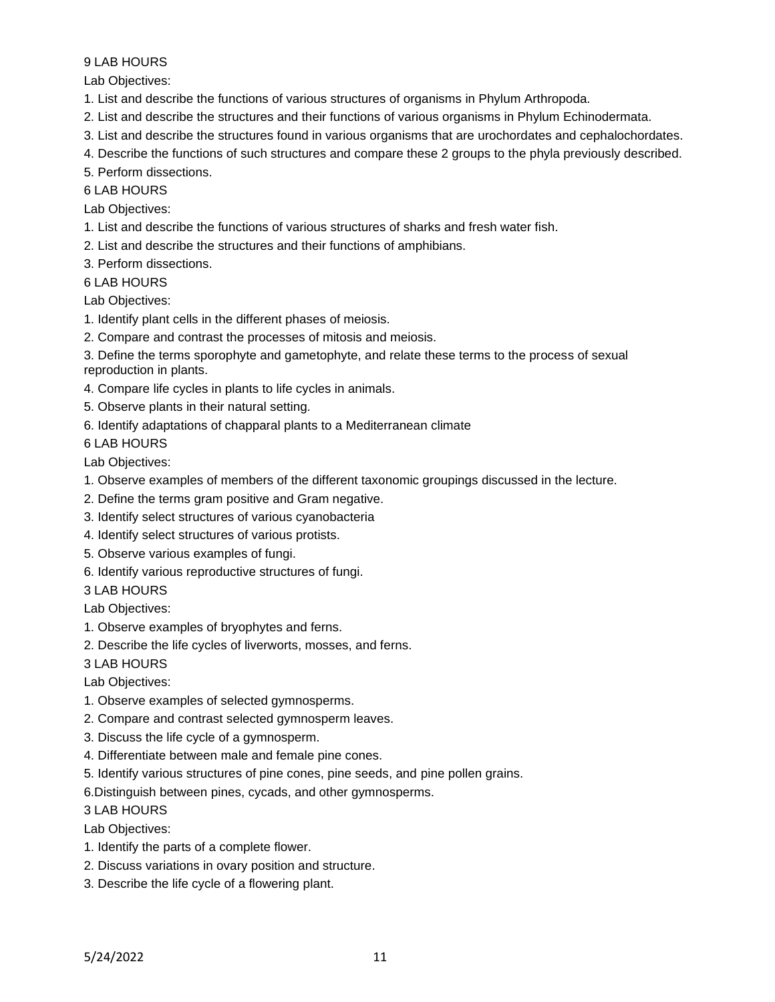Lab Objectives:

- 1. List and describe the functions of various structures of organisms in Phylum Arthropoda.
- 2. List and describe the structures and their functions of various organisms in Phylum Echinodermata.
- 3. List and describe the structures found in various organisms that are urochordates and cephalochordates.
- 4. Describe the functions of such structures and compare these 2 groups to the phyla previously described.
- 5. Perform dissections.

### 6 LAB HOURS

Lab Objectives:

- 1. List and describe the functions of various structures of sharks and fresh water fish.
- 2. List and describe the structures and their functions of amphibians.

3. Perform dissections.

### 6 LAB HOURS

Lab Objectives:

- 1. Identify plant cells in the different phases of meiosis.
- 2. Compare and contrast the processes of mitosis and meiosis.

3. Define the terms sporophyte and gametophyte, and relate these terms to the process of sexual reproduction in plants.

- 4. Compare life cycles in plants to life cycles in animals.
- 5. Observe plants in their natural setting.
- 6. Identify adaptations of chapparal plants to a Mediterranean climate

6 LAB HOURS

Lab Objectives:

- 1. Observe examples of members of the different taxonomic groupings discussed in the lecture.
- 2. Define the terms gram positive and Gram negative.
- 3. Identify select structures of various cyanobacteria
- 4. Identify select structures of various protists.
- 5. Observe various examples of fungi.
- 6. Identify various reproductive structures of fungi.
- 3 LAB HOURS

Lab Objectives:

- 1. Observe examples of bryophytes and ferns.
- 2. Describe the life cycles of liverworts, mosses, and ferns.

3 LAB HOURS

Lab Objectives:

- 1. Observe examples of selected gymnosperms.
- 2. Compare and contrast selected gymnosperm leaves.
- 3. Discuss the life cycle of a gymnosperm.
- 4. Differentiate between male and female pine cones.
- 5. Identify various structures of pine cones, pine seeds, and pine pollen grains.

6.Distinguish between pines, cycads, and other gymnosperms.

3 LAB HOURS

- Lab Objectives:
- 1. Identify the parts of a complete flower.
- 2. Discuss variations in ovary position and structure.
- 3. Describe the life cycle of a flowering plant.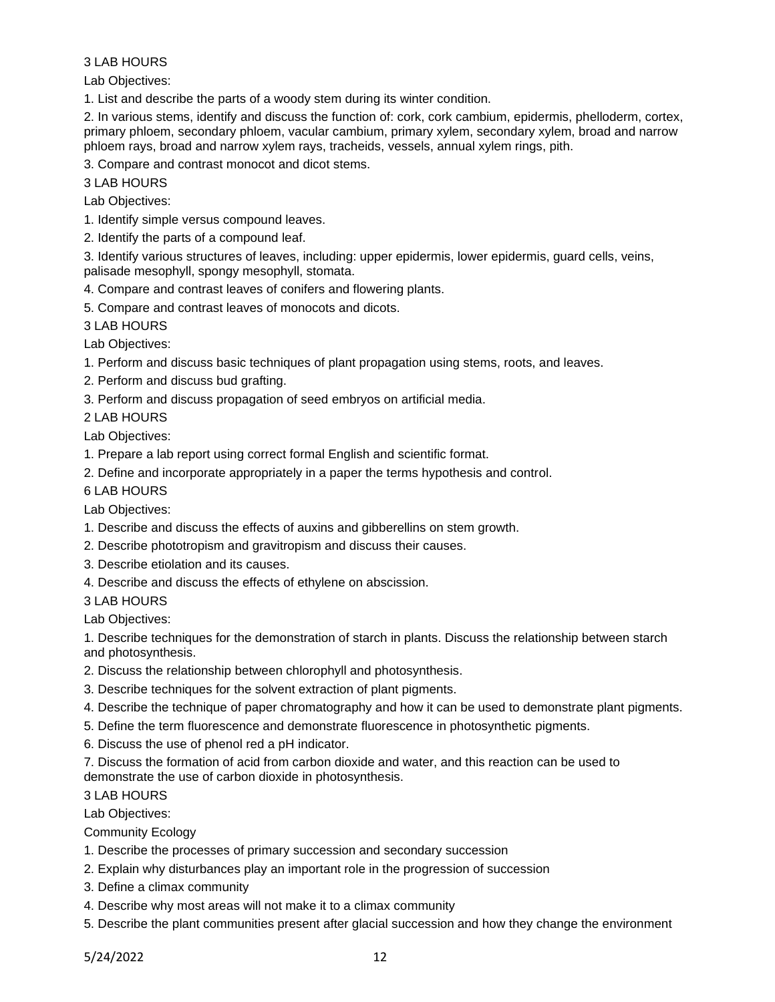Lab Objectives:

1. List and describe the parts of a woody stem during its winter condition.

2. In various stems, identify and discuss the function of: cork, cork cambium, epidermis, phelloderm, cortex, primary phloem, secondary phloem, vacular cambium, primary xylem, secondary xylem, broad and narrow phloem rays, broad and narrow xylem rays, tracheids, vessels, annual xylem rings, pith.

3. Compare and contrast monocot and dicot stems.

3 LAB HOURS

Lab Objectives:

1. Identify simple versus compound leaves.

2. Identify the parts of a compound leaf.

3. Identify various structures of leaves, including: upper epidermis, lower epidermis, guard cells, veins, palisade mesophyll, spongy mesophyll, stomata.

4. Compare and contrast leaves of conifers and flowering plants.

5. Compare and contrast leaves of monocots and dicots.

3 LAB HOURS

Lab Objectives:

1. Perform and discuss basic techniques of plant propagation using stems, roots, and leaves.

2. Perform and discuss bud grafting.

3. Perform and discuss propagation of seed embryos on artificial media.

2 LAB HOURS

Lab Objectives:

1. Prepare a lab report using correct formal English and scientific format.

2. Define and incorporate appropriately in a paper the terms hypothesis and control.

6 LAB HOURS

Lab Objectives:

- 1. Describe and discuss the effects of auxins and gibberellins on stem growth.
- 2. Describe phototropism and gravitropism and discuss their causes.
- 3. Describe etiolation and its causes.
- 4. Describe and discuss the effects of ethylene on abscission.

3 LAB HOURS

Lab Objectives:

1. Describe techniques for the demonstration of starch in plants. Discuss the relationship between starch and photosynthesis.

2. Discuss the relationship between chlorophyll and photosynthesis.

- 3. Describe techniques for the solvent extraction of plant pigments.
- 4. Describe the technique of paper chromatography and how it can be used to demonstrate plant pigments.

5. Define the term fluorescence and demonstrate fluorescence in photosynthetic pigments.

6. Discuss the use of phenol red a pH indicator.

7. Discuss the formation of acid from carbon dioxide and water, and this reaction can be used to demonstrate the use of carbon dioxide in photosynthesis.

3 LAB HOURS

Lab Objectives:

Community Ecology

- 1. Describe the processes of primary succession and secondary succession
- 2. Explain why disturbances play an important role in the progression of succession
- 3. Define a climax community
- 4. Describe why most areas will not make it to a climax community

5. Describe the plant communities present after glacial succession and how they change the environment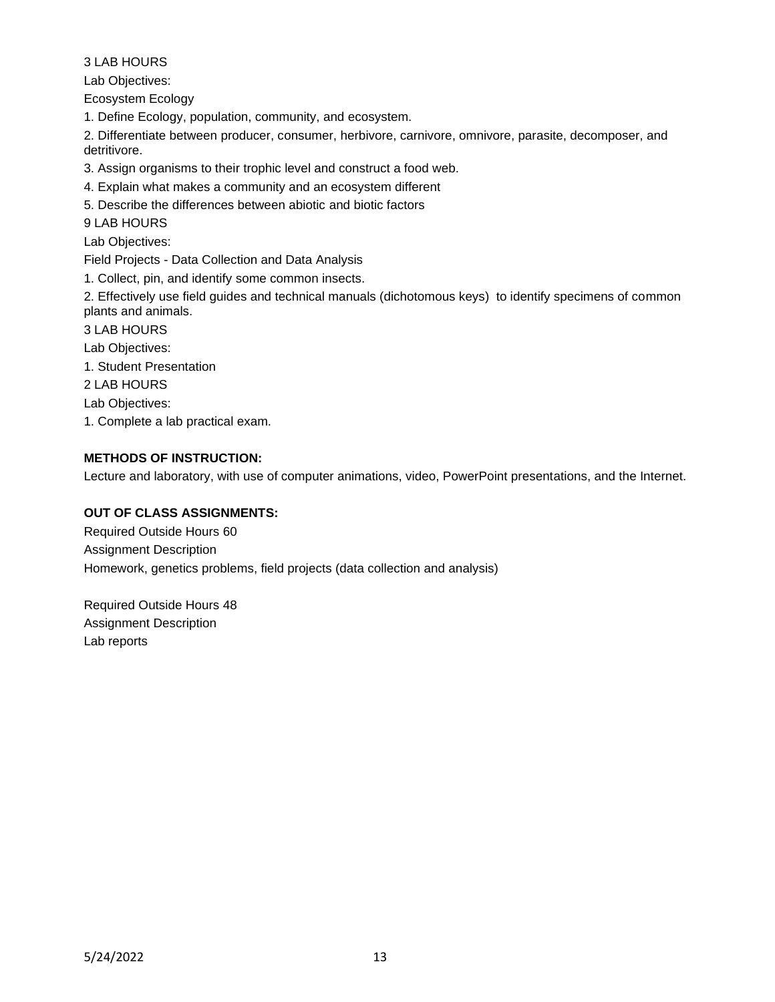Lab Objectives:

Ecosystem Ecology

1. Define Ecology, population, community, and ecosystem.

2. Differentiate between producer, consumer, herbivore, carnivore, omnivore, parasite, decomposer, and detritivore.

3. Assign organisms to their trophic level and construct a food web.

4. Explain what makes a community and an ecosystem different

5. Describe the differences between abiotic and biotic factors

9 LAB HOURS

Lab Objectives:

Field Projects - Data Collection and Data Analysis

1. Collect, pin, and identify some common insects.

2. Effectively use field guides and technical manuals (dichotomous keys) to identify specimens of common plants and animals.

3 LAB HOURS

Lab Objectives:

1. Student Presentation

2 LAB HOURS

Lab Objectives:

1. Complete a lab practical exam.

# **METHODS OF INSTRUCTION:**

Lecture and laboratory, with use of computer animations, video, PowerPoint presentations, and the Internet.

### **OUT OF CLASS ASSIGNMENTS:**

Required Outside Hours 60 Assignment Description Homework, genetics problems, field projects (data collection and analysis)

Required Outside Hours 48 Assignment Description Lab reports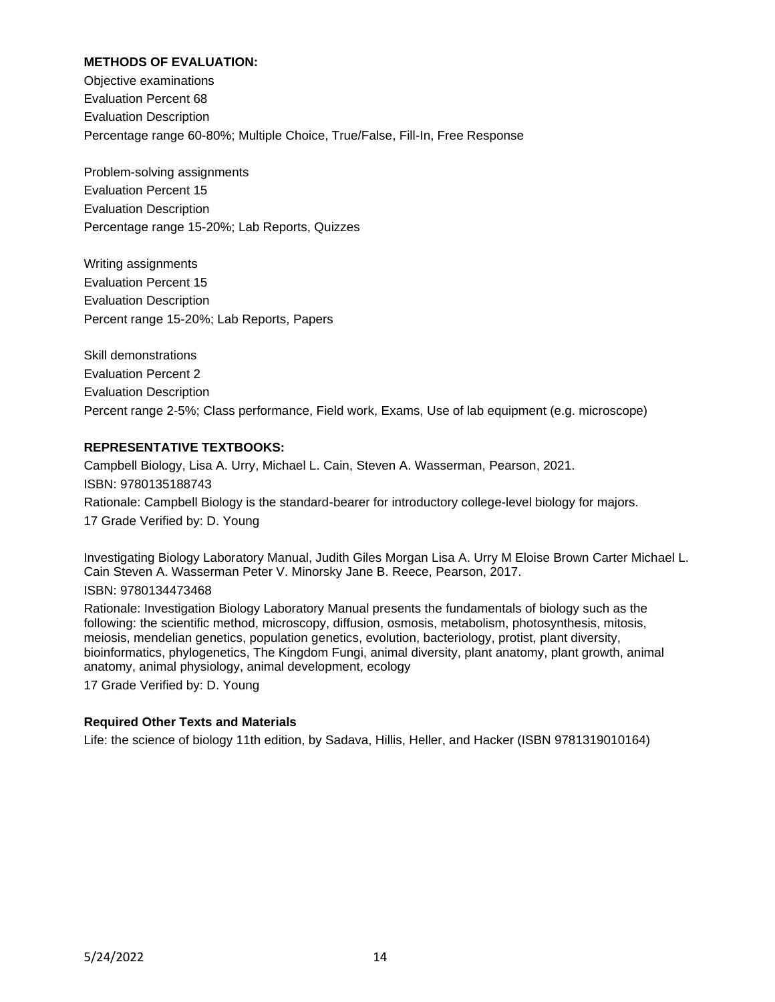### **METHODS OF EVALUATION:**

Objective examinations Evaluation Percent 68 Evaluation Description Percentage range 60-80%; Multiple Choice, True/False, Fill-In, Free Response

Problem-solving assignments Evaluation Percent 15 Evaluation Description Percentage range 15-20%; Lab Reports, Quizzes

Writing assignments Evaluation Percent 15 Evaluation Description Percent range 15-20%; Lab Reports, Papers

Skill demonstrations Evaluation Percent 2 Evaluation Description Percent range 2-5%; Class performance, Field work, Exams, Use of lab equipment (e.g. microscope)

#### **REPRESENTATIVE TEXTBOOKS:**

Campbell Biology, Lisa A. Urry, Michael L. Cain, Steven A. Wasserman, Pearson, 2021. ISBN: 9780135188743 Rationale: Campbell Biology is the standard-bearer for introductory college-level biology for majors. 17 Grade Verified by: D. Young

Investigating Biology Laboratory Manual, Judith Giles Morgan Lisa A. Urry M Eloise Brown Carter Michael L. Cain Steven A. Wasserman Peter V. Minorsky Jane B. Reece, Pearson, 2017.

ISBN: 9780134473468

Rationale: Investigation Biology Laboratory Manual presents the fundamentals of biology such as the following: the scientific method, microscopy, diffusion, osmosis, metabolism, photosynthesis, mitosis, meiosis, mendelian genetics, population genetics, evolution, bacteriology, protist, plant diversity, bioinformatics, phylogenetics, The Kingdom Fungi, animal diversity, plant anatomy, plant growth, animal anatomy, animal physiology, animal development, ecology

17 Grade Verified by: D. Young

### **Required Other Texts and Materials**

Life: the science of biology 11th edition, by Sadava, Hillis, Heller, and Hacker (ISBN 9781319010164)